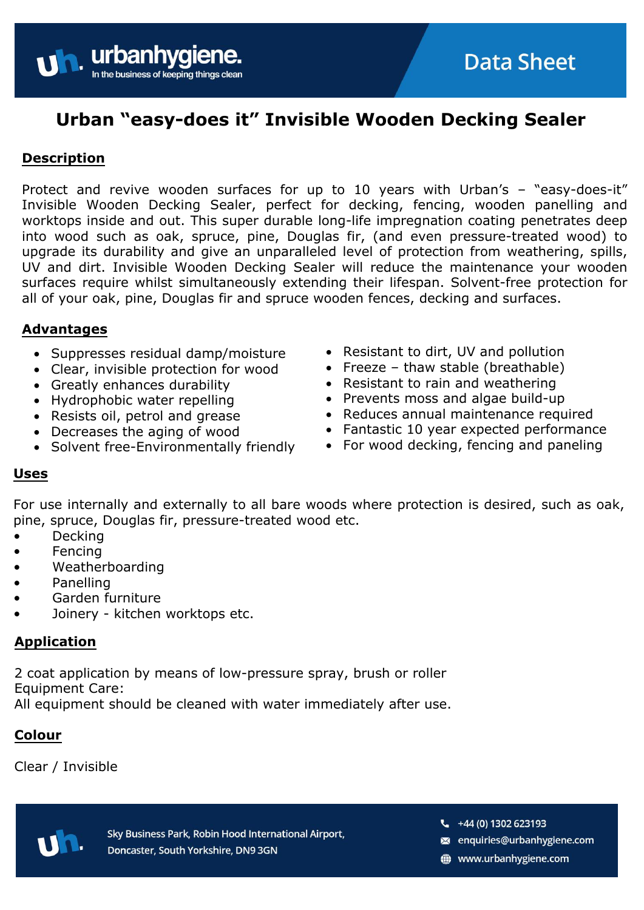# **Urban "easy-does it" Invisible Wooden Decking Sealer**

# **Description**

Protect and revive wooden surfaces for up to 10 years with Urban's – "easy-does-it" Invisible Wooden Decking Sealer, perfect for decking, fencing, wooden panelling and worktops inside and out. This super durable long-life impregnation coating penetrates deep into wood such as oak, spruce, pine, Douglas fir, (and even pressure-treated wood) to upgrade its durability and give an unparalleled level of protection from weathering, spills, UV and dirt. Invisible Wooden Decking Sealer will reduce the maintenance your wooden surfaces require whilst simultaneously extending their lifespan. Solvent-free protection for all of your oak, pine, Douglas fir and spruce wooden fences, decking and surfaces.

# **Advantages**

- Suppresses residual damp/moisture
- Clear, invisible protection for wood

urbanhygie

**ping things clean** 

In the business of key

- Greatly enhances durability
- Hydrophobic water repelling
- Resists oil, petrol and grease
- Decreases the aging of wood
- Solvent free-Environmentally friendly
- Resistant to dirt, UV and pollution
- Freeze thaw stable (breathable)
- Resistant to rain and weathering
- Prevents moss and algae build-up
- Reduces annual maintenance required
- Fantastic 10 year expected performance

**Data Sheet** 

• For wood decking, fencing and paneling

# **Uses**

For use internally and externally to all bare woods where protection is desired, such as oak, pine, spruce, Douglas fir, pressure-treated wood etc.

- Decking
- Fencing
- Weatherboarding
- Panelling
- Garden furniture
- Joinery kitchen worktops etc.

# **Application**

2 coat application by means of low-pressure spray, brush or roller Equipment Care:

All equipment should be cleaned with water immediately after use.

# **Colour**

Clear / Invisible

Sky Business Park, Robin Hood International Airport, Doncaster, South Yorkshire, DN9 3GN

 $-$  +44 (0) 1302 623193

- enquiries@urbanhygiene.com
- www.urbanhygiene.com